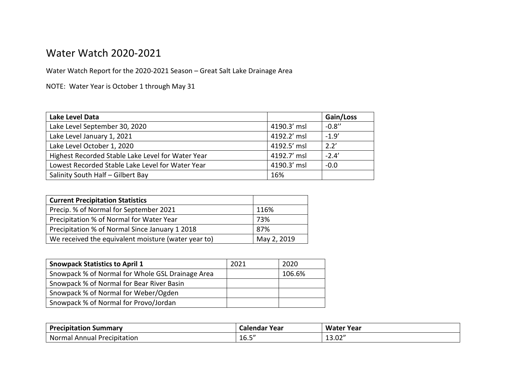## Water Watch 2020-2021

Water Watch Report for the 2020-2021 Season – Great Salt Lake Drainage Area

NOTE: Water Year is October 1 through May 31

| Lake Level Data                                   |             | Gain/Loss |
|---------------------------------------------------|-------------|-----------|
| Lake Level September 30, 2020                     | 4190.3' msl | $-0.8''$  |
| Lake Level January 1, 2021                        | 4192.2' msl | $-1.9'$   |
| Lake Level October 1, 2020                        | 4192.5' msl | 2.2'      |
| Highest Recorded Stable Lake Level for Water Year | 4192.7' msl | $-2.4'$   |
| Lowest Recorded Stable Lake Level for Water Year  | 4190.3' msl | $-0.0$    |
| Salinity South Half - Gilbert Bay                 | 16%         |           |

| <b>Current Precipitation Statistics</b>             |             |
|-----------------------------------------------------|-------------|
| Precip. % of Normal for September 2021              | 116%        |
| Precipitation % of Normal for Water Year            | 73%         |
| Precipitation % of Normal Since January 1 2018      | 87%         |
| We received the equivalent moisture (water year to) | May 2, 2019 |

| <b>Snowpack Statistics to April 1</b>            | 2021 | 2020   |
|--------------------------------------------------|------|--------|
| Snowpack % of Normal for Whole GSL Drainage Area |      | 106.6% |
| Snowpack % of Normal for Bear River Basin        |      |        |
| Snowpack % of Normal for Weber/Ogden             |      |        |
| Snowpack % of Normal for Provo/Jordan            |      |        |

| <b>Precipitation Summary</b>          | Calendar Year                      | Water<br>Year           |
|---------------------------------------|------------------------------------|-------------------------|
| Normal<br>' Precipitation<br>l Annual | $\epsilon$ $\epsilon$ $\mu$<br>⊥∪. | יי ה<br>$\sim$<br>LJ.UZ |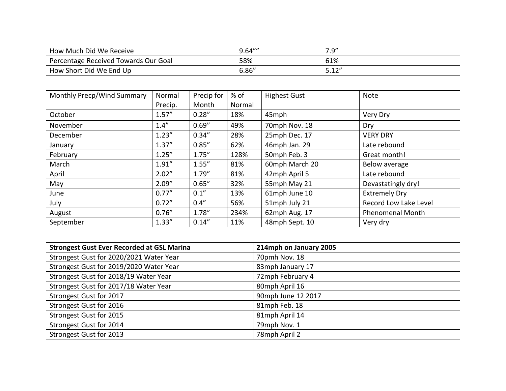| How Much Did We Receive              | 9.64''' | יים ו<br>$\overline{\phantom{a}}$<br>. |
|--------------------------------------|---------|----------------------------------------|
| Percentage Received Towards Our Goal | 58%     | 61%                                    |
| How Short Did We End Up              | 6.86''  | <b>F</b> 1 2 1                         |

| Monthly Precp/Wind Summary | Normal  | Precip for | $%$ of | <b>Highest Gust</b> | Note                    |
|----------------------------|---------|------------|--------|---------------------|-------------------------|
|                            | Precip. | Month      | Normal |                     |                         |
| October                    | 1.57''  | 0.28''     | 18%    | 45mph               | Very Dry                |
| November                   | 1.4''   | 0.69''     | 49%    | 70mph Nov. 18       | Dry                     |
| December                   | 1.23''  | 0.34''     | 28%    | 25mph Dec. 17       | <b>VERY DRY</b>         |
| January                    | 1.37''  | 0.85''     | 62%    | 46mph Jan. 29       | Late rebound            |
| February                   | 1.25''  | 1.75''     | 128%   | 50mph Feb. 3        | Great month!            |
| March                      | 1.91''  | 1.55''     | 81%    | 60mph March 20      | Below average           |
| April                      | 2.02"   | 1.79''     | 81%    | 42mph April 5       | Late rebound            |
| May                        | 2.09''  | 0.65''     | 32%    | 55mph May 21        | Devastatingly dry!      |
| June                       | 0.77''  | 0.1''      | 13%    | 61mph June 10       | <b>Extremely Dry</b>    |
| July                       | 0.72''  | 0.4''      | 56%    | 51mph July 21       | Record Low Lake Level   |
| August                     | 0.76''  | 1.78"      | 234%   | 62mph Aug. 17       | <b>Phenomenal Month</b> |
| September                  | 1.33''  | 0.14''     | 11%    | 48mph Sept. 10      | Very dry                |

| <b>Strongest Gust Ever Recorded at GSL Marina</b> | 214mph on January 2005 |
|---------------------------------------------------|------------------------|
| Strongest Gust for 2020/2021 Water Year           | 70pmh Nov. 18          |
| Strongest Gust for 2019/2020 Water Year           | 83mph January 17       |
| Strongest Gust for 2018/19 Water Year             | 72mph February 4       |
| Strongest Gust for 2017/18 Water Year             | 80mph April 16         |
| Strongest Gust for 2017                           | 90mph June 12 2017     |
| Strongest Gust for 2016                           | 81mph Feb. 18          |
| Strongest Gust for 2015                           | 81mph April 14         |
| Strongest Gust for 2014                           | 79mph Nov. 1           |
| Strongest Gust for 2013                           | 78mph April 2          |